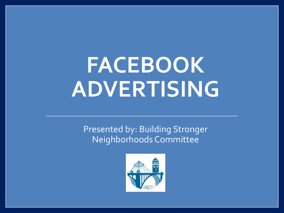# **FACEBOOK ADVERTISING**

Presented by: Building Stronger Neighborhoods Committee

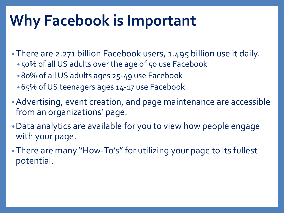### **Why Facebook is Important**

•There are 2.271 billion Facebook users, 1.495 billion use it daily.

- 50% of all US adults over the age of 50 use Facebook
- 80% of all US adults ages 25-49 use Facebook
- 65% of US teenagers ages 14-17 use Facebook
- •Advertising, event creation, and page maintenance are accessible from an organizations' page.
- •Data analytics are available for you to view how people engage with your page.
- •There are many "How-To's" for utilizing your page to its fullest potential.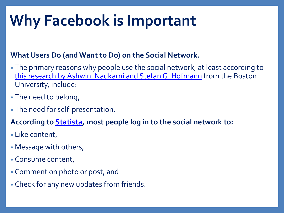## **Why Facebook is Important**

#### **What Users Do (and Want to Do) on the Social Network.**

- The primary reasons why people use the social network, at least according to [this research by Ashwini](http://www.ncbi.nlm.nih.gov/pmc/articles/PMC3335399/) Nadkarni and Stefan G. Hofmann from the Boston University, include:
- The need to belong,
- The need for self-presentation.
- **According to [Statista,](http://www.statista.com/statistics/420714/top-facebook-activities-worldwide/) most people log in to the social network to:**
- Like content,
- Message with others,
- Consume content,
- Comment on photo or post, and
- Check for any new updates from friends.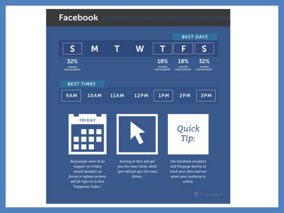